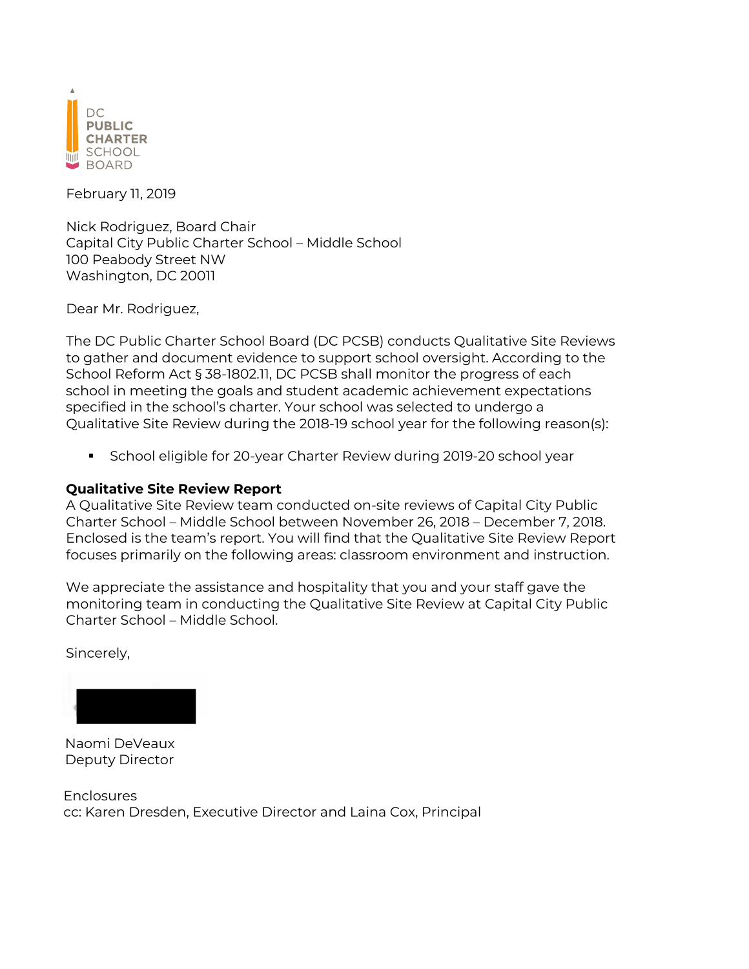

February 11, 2019

Nick Rodriguez, Board Chair Capital City Public Charter School – Middle School 100 Peabody Street NW Washington, DC 20011

Dear Mr. Rodriguez,

The DC Public Charter School Board (DC PCSB) conducts Qualitative Site Reviews to gather and document evidence to support school oversight. According to the School Reform Act § 38-1802.11, DC PCSB shall monitor the progress of each school in meeting the goals and student academic achievement expectations specified in the school's charter. Your school was selected to undergo a Qualitative Site Review during the 2018-19 school year for the following reason(s):

§ School eligible for 20-year Charter Review during 2019-20 school year

#### **Qualitative Site Review Report**

A Qualitative Site Review team conducted on-site reviews of Capital City Public Charter School – Middle School between November 26, 2018 – December 7, 2018. Enclosed is the team's report. You will find that the Qualitative Site Review Report focuses primarily on the following areas: classroom environment and instruction.

We appreciate the assistance and hospitality that you and your staff gave the monitoring team in conducting the Qualitative Site Review at Capital City Public Charter School – Middle School.

Sincerely,



Naomi DeVeaux Deputy Director

Enclosures cc: Karen Dresden, Executive Director and Laina Cox, Principal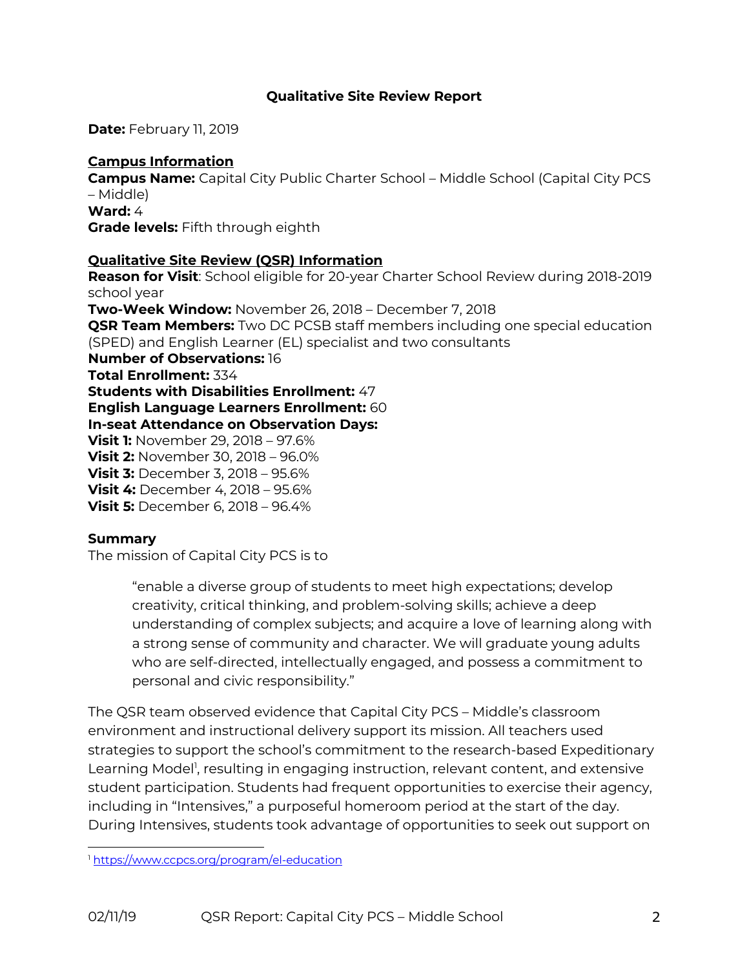#### **Qualitative Site Review Report**

**Date:** February 11, 2019

# **Campus Information**

**Campus Name:** Capital City Public Charter School – Middle School (Capital City PCS – Middle) **Ward:** 4 **Grade levels:** Fifth through eighth

# **Qualitative Site Review (QSR) Information**

**Reason for Visit**: School eligible for 20-year Charter School Review during 2018-2019 school year **Two-Week Window:** November 26, 2018 – December 7, 2018 **QSR Team Members:** Two DC PCSB staff members including one special education (SPED) and English Learner (EL) specialist and two consultants **Number of Observations:** 16 **Total Enrollment:** 334 **Students with Disabilities Enrollment:** 47 **English Language Learners Enrollment:** 60 **In-seat Attendance on Observation Days: Visit 1:** November 29, 2018 – 97.6% **Visit 2:** November 30, 2018 – 96.0% **Visit 3:** December 3, 2018 – 95.6% **Visit 4:** December 4, 2018 – 95.6% **Visit 5:** December 6, 2018 – 96.4%

#### **Summary**

The mission of Capital City PCS is to

"enable a diverse group of students to meet high expectations; develop creativity, critical thinking, and problem-solving skills; achieve a deep understanding of complex subjects; and acquire a love of learning along with a strong sense of community and character. We will graduate young adults who are self-directed, intellectually engaged, and possess a commitment to personal and civic responsibility."

The QSR team observed evidence that Capital City PCS – Middle's classroom environment and instructional delivery support its mission. All teachers used strategies to support the school's commitment to the research-based Expeditionary Learning Model<sup>1</sup>, resulting in engaging instruction, relevant content, and extensive student participation. Students had frequent opportunities to exercise their agency, including in "Intensives," a purposeful homeroom period at the start of the day. During Intensives, students took advantage of opportunities to seek out support on

<sup>1</sup> https://www.ccpcs.org/program/el-education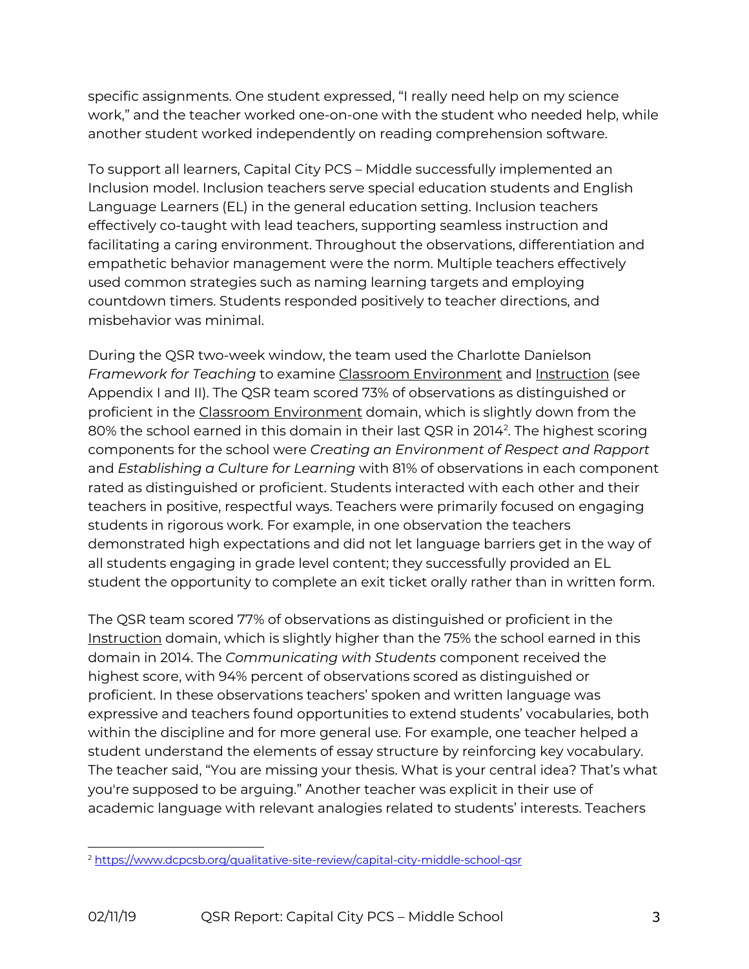specific assignments. One student expressed, "I really need help on my science work," and the teacher worked one-on-one with the student who needed help, while another student worked independently on reading comprehension software.

To support all learners, Capital City PCS – Middle successfully implemented an Inclusion model. Inclusion teachers serve special education students and English Language Learners (EL) in the general education setting. Inclusion teachers effectively co-taught with lead teachers, supporting seamless instruction and facilitating a caring environment. Throughout the observations, differentiation and empathetic behavior management were the norm. Multiple teachers effectively used common strategies such as naming learning targets and employing countdown timers. Students responded positively to teacher directions, and misbehavior was minimal.

During the QSR two-week window, the team used the Charlotte Danielson *Framework for Teaching* to examine Classroom Environment and Instruction (see Appendix I and II). The QSR team scored 73% of observations as distinguished or proficient in the Classroom Environment domain, which is slightly down from the 80% the school earned in this domain in their last QSR in 2014<sup>2</sup>. The highest scoring components for the school were *Creating an Environment of Respect and Rapport* and *Establishing a Culture for Learning* with 81% of observations in each component rated as distinguished or proficient. Students interacted with each other and their teachers in positive, respectful ways. Teachers were primarily focused on engaging students in rigorous work. For example, in one observation the teachers demonstrated high expectations and did not let language barriers get in the way of all students engaging in grade level content; they successfully provided an EL student the opportunity to complete an exit ticket orally rather than in written form.

The QSR team scored 77% of observations as distinguished or proficient in the Instruction domain, which is slightly higher than the 75% the school earned in this domain in 2014. The *Communicating with Students* component received the highest score, with 94% percent of observations scored as distinguished or proficient. In these observations teachers' spoken and written language was expressive and teachers found opportunities to extend students' vocabularies, both within the discipline and for more general use. For example, one teacher helped a student understand the elements of essay structure by reinforcing key vocabulary. The teacher said, "You are missing your thesis. What is your central idea? That's what you're supposed to be arguing." Another teacher was explicit in their use of academic language with relevant analogies related to students' interests. Teachers

<sup>2</sup> https://www.dcpcsb.org/qualitative-site-review/capital-city-middle-school-qsr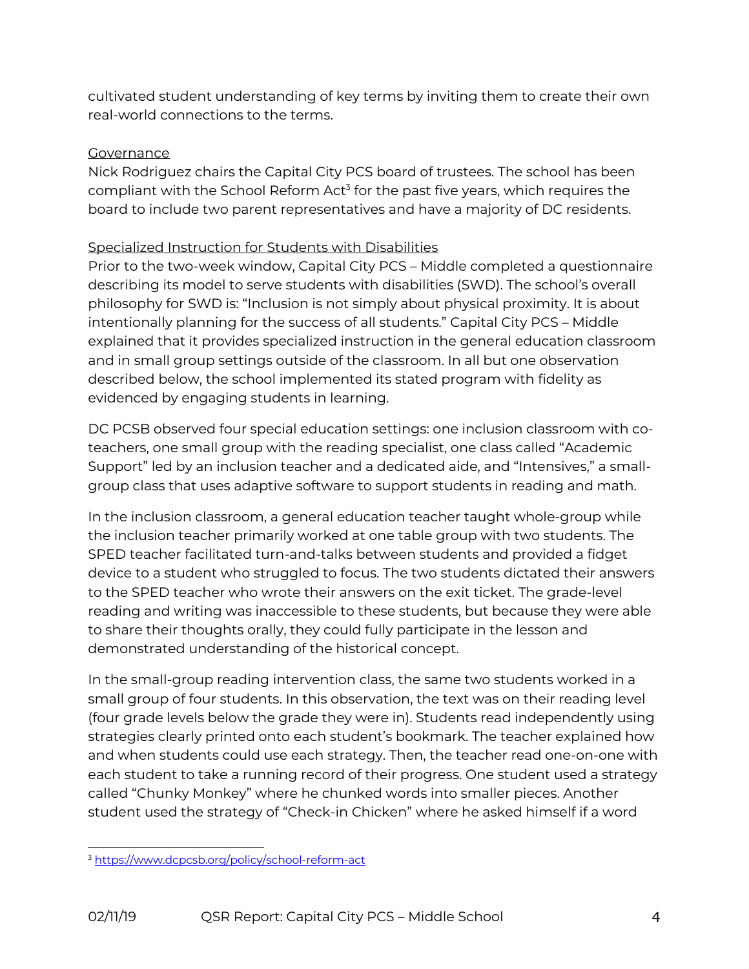cultivated student understanding of key terms by inviting them to create their own real-world connections to the terms.

### **Governance**

Nick Rodriguez chairs the Capital City PCS board of trustees. The school has been compliant with the School Reform Act<sup>3</sup> for the past five years, which requires the board to include two parent representatives and have a majority of DC residents.

## Specialized Instruction for Students with Disabilities

Prior to the two-week window, Capital City PCS – Middle completed a questionnaire describing its model to serve students with disabilities (SWD). The school's overall philosophy for SWD is: "Inclusion is not simply about physical proximity. It is about intentionally planning for the success of all students." Capital City PCS – Middle explained that it provides specialized instruction in the general education classroom and in small group settings outside of the classroom. In all but one observation described below, the school implemented its stated program with fidelity as evidenced by engaging students in learning.

DC PCSB observed four special education settings: one inclusion classroom with coteachers, one small group with the reading specialist, one class called "Academic Support" led by an inclusion teacher and a dedicated aide, and "Intensives," a smallgroup class that uses adaptive software to support students in reading and math.

In the inclusion classroom, a general education teacher taught whole-group while the inclusion teacher primarily worked at one table group with two students. The SPED teacher facilitated turn-and-talks between students and provided a fidget device to a student who struggled to focus. The two students dictated their answers to the SPED teacher who wrote their answers on the exit ticket. The grade-level reading and writing was inaccessible to these students, but because they were able to share their thoughts orally, they could fully participate in the lesson and demonstrated understanding of the historical concept.

In the small-group reading intervention class, the same two students worked in a small group of four students. In this observation, the text was on their reading level (four grade levels below the grade they were in). Students read independently using strategies clearly printed onto each student's bookmark. The teacher explained how and when students could use each strategy. Then, the teacher read one-on-one with each student to take a running record of their progress. One student used a strategy called "Chunky Monkey" where he chunked words into smaller pieces. Another student used the strategy of "Check-in Chicken" where he asked himself if a word

<sup>3</sup> https://www.dcpcsb.org/policy/school-reform-act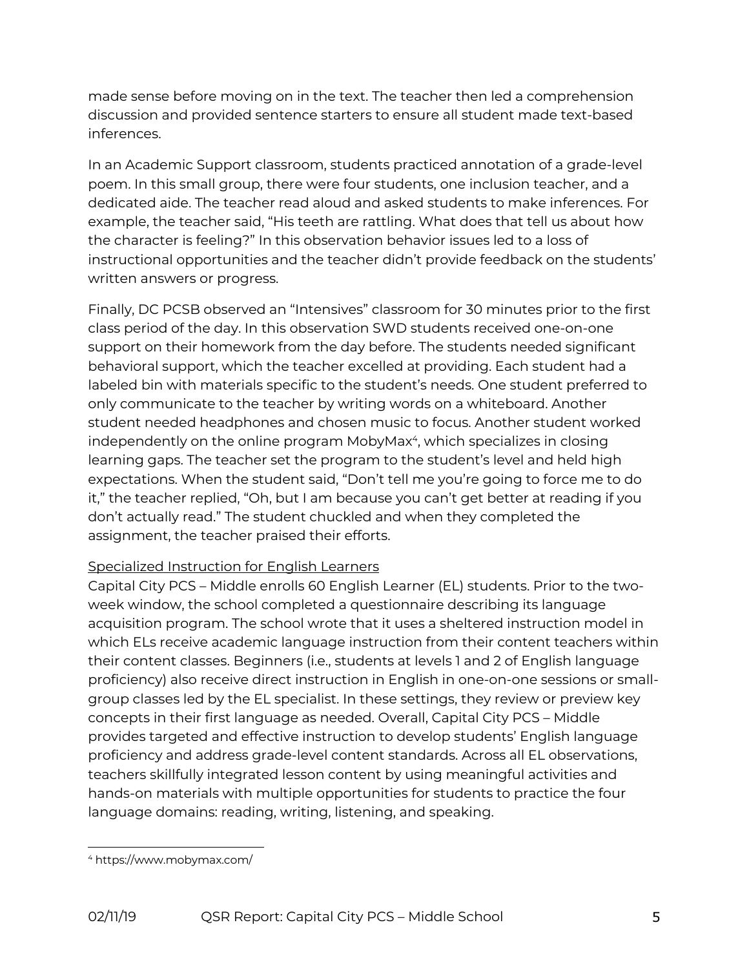made sense before moving on in the text. The teacher then led a comprehension discussion and provided sentence starters to ensure all student made text-based inferences.

In an Academic Support classroom, students practiced annotation of a grade-level poem. In this small group, there were four students, one inclusion teacher, and a dedicated aide. The teacher read aloud and asked students to make inferences. For example, the teacher said, "His teeth are rattling. What does that tell us about how the character is feeling?" In this observation behavior issues led to a loss of instructional opportunities and the teacher didn't provide feedback on the students' written answers or progress.

Finally, DC PCSB observed an "Intensives" classroom for 30 minutes prior to the first class period of the day. In this observation SWD students received one-on-one support on their homework from the day before. The students needed significant behavioral support, which the teacher excelled at providing. Each student had a labeled bin with materials specific to the student's needs. One student preferred to only communicate to the teacher by writing words on a whiteboard. Another student needed headphones and chosen music to focus. Another student worked independently on the online program MobyMax<sup>4</sup>, which specializes in closing learning gaps. The teacher set the program to the student's level and held high expectations. When the student said, "Don't tell me you're going to force me to do it," the teacher replied, "Oh, but I am because you can't get better at reading if you don't actually read." The student chuckled and when they completed the assignment, the teacher praised their efforts.

## Specialized Instruction for English Learners

Capital City PCS – Middle enrolls 60 English Learner (EL) students. Prior to the twoweek window, the school completed a questionnaire describing its language acquisition program. The school wrote that it uses a sheltered instruction model in which ELs receive academic language instruction from their content teachers within their content classes. Beginners (i.e., students at levels 1 and 2 of English language proficiency) also receive direct instruction in English in one-on-one sessions or smallgroup classes led by the EL specialist. In these settings, they review or preview key concepts in their first language as needed. Overall, Capital City PCS – Middle provides targeted and effective instruction to develop students' English language proficiency and address grade-level content standards. Across all EL observations, teachers skillfully integrated lesson content by using meaningful activities and hands-on materials with multiple opportunities for students to practice the four language domains: reading, writing, listening, and speaking.

<sup>4</sup> https://www.mobymax.com/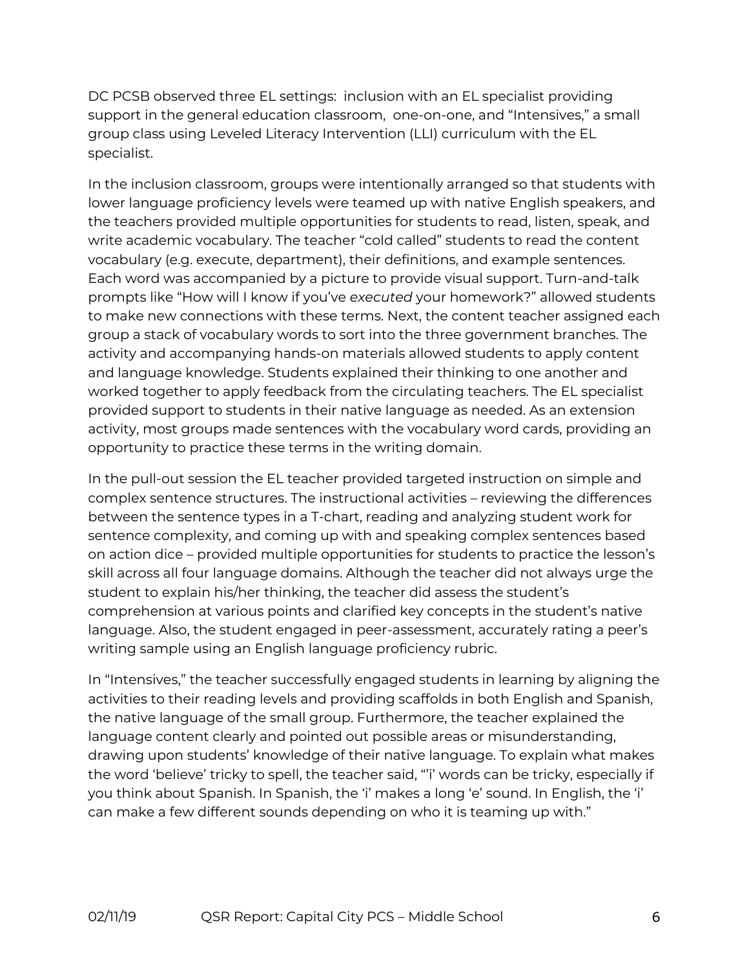DC PCSB observed three EL settings: inclusion with an EL specialist providing support in the general education classroom, one-on-one, and "Intensives," a small group class using Leveled Literacy Intervention (LLI) curriculum with the EL specialist.

In the inclusion classroom, groups were intentionally arranged so that students with lower language proficiency levels were teamed up with native English speakers, and the teachers provided multiple opportunities for students to read, listen, speak, and write academic vocabulary. The teacher "cold called" students to read the content vocabulary (e.g. execute, department), their definitions, and example sentences. Each word was accompanied by a picture to provide visual support. Turn-and-talk prompts like "How will I know if you've *executed* your homework?" allowed students to make new connections with these terms. Next, the content teacher assigned each group a stack of vocabulary words to sort into the three government branches. The activity and accompanying hands-on materials allowed students to apply content and language knowledge. Students explained their thinking to one another and worked together to apply feedback from the circulating teachers. The EL specialist provided support to students in their native language as needed. As an extension activity, most groups made sentences with the vocabulary word cards, providing an opportunity to practice these terms in the writing domain.

In the pull-out session the EL teacher provided targeted instruction on simple and complex sentence structures. The instructional activities – reviewing the differences between the sentence types in a T-chart, reading and analyzing student work for sentence complexity, and coming up with and speaking complex sentences based on action dice – provided multiple opportunities for students to practice the lesson's skill across all four language domains. Although the teacher did not always urge the student to explain his/her thinking, the teacher did assess the student's comprehension at various points and clarified key concepts in the student's native language. Also, the student engaged in peer-assessment, accurately rating a peer's writing sample using an English language proficiency rubric.

In "Intensives," the teacher successfully engaged students in learning by aligning the activities to their reading levels and providing scaffolds in both English and Spanish, the native language of the small group. Furthermore, the teacher explained the language content clearly and pointed out possible areas or misunderstanding, drawing upon students' knowledge of their native language. To explain what makes the word 'believe' tricky to spell, the teacher said, "'i' words can be tricky, especially if you think about Spanish. In Spanish, the 'i' makes a long 'e' sound. In English, the 'i' can make a few different sounds depending on who it is teaming up with."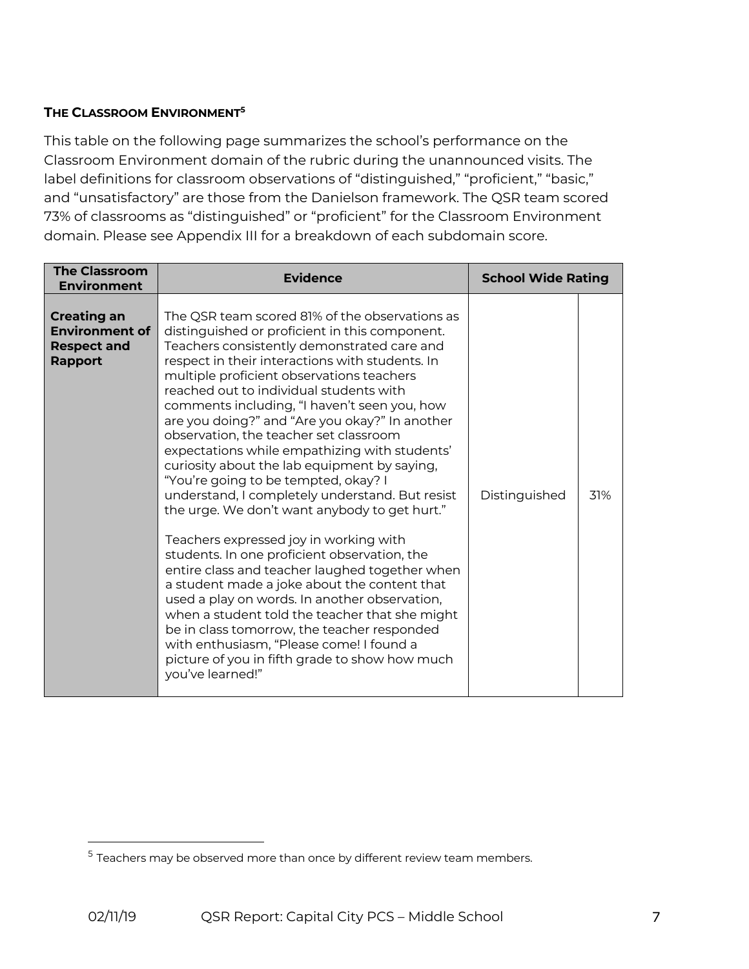#### **THE CLASSROOM ENVIRONMENT5**

This table on the following page summarizes the school's performance on the Classroom Environment domain of the rubric during the unannounced visits. The label definitions for classroom observations of "distinguished," "proficient," "basic," and "unsatisfactory" are those from the Danielson framework. The QSR team scored 73% of classrooms as "distinguished" or "proficient" for the Classroom Environment domain. Please see Appendix III for a breakdown of each subdomain score.

| <b>The Classroom</b><br><b>Environment</b>                                          | <b>Evidence</b>                                                                                                                                                                                                                                                                                                                                                                                                                                                                                                                                                                                                                                                                                                                                                                                                                                                                                                                                                                                                                                                                                                                                     | <b>School Wide Rating</b> |     |
|-------------------------------------------------------------------------------------|-----------------------------------------------------------------------------------------------------------------------------------------------------------------------------------------------------------------------------------------------------------------------------------------------------------------------------------------------------------------------------------------------------------------------------------------------------------------------------------------------------------------------------------------------------------------------------------------------------------------------------------------------------------------------------------------------------------------------------------------------------------------------------------------------------------------------------------------------------------------------------------------------------------------------------------------------------------------------------------------------------------------------------------------------------------------------------------------------------------------------------------------------------|---------------------------|-----|
| <b>Creating an</b><br><b>Environment of</b><br><b>Respect and</b><br><b>Rapport</b> | The QSR team scored 81% of the observations as<br>distinguished or proficient in this component.<br>Teachers consistently demonstrated care and<br>respect in their interactions with students. In<br>multiple proficient observations teachers<br>reached out to individual students with<br>comments including, "I haven't seen you, how<br>are you doing?" and "Are you okay?" In another<br>observation, the teacher set classroom<br>expectations while empathizing with students'<br>curiosity about the lab equipment by saying,<br>"You're going to be tempted, okay? I<br>understand, I completely understand. But resist<br>the urge. We don't want anybody to get hurt."<br>Teachers expressed joy in working with<br>students. In one proficient observation, the<br>entire class and teacher laughed together when<br>a student made a joke about the content that<br>used a play on words. In another observation,<br>when a student told the teacher that she might<br>be in class tomorrow, the teacher responded<br>with enthusiasm, "Please come! I found a<br>picture of you in fifth grade to show how much<br>you've learned!" | Distinguished             | 31% |

 $5$  Teachers may be observed more than once by different review team members.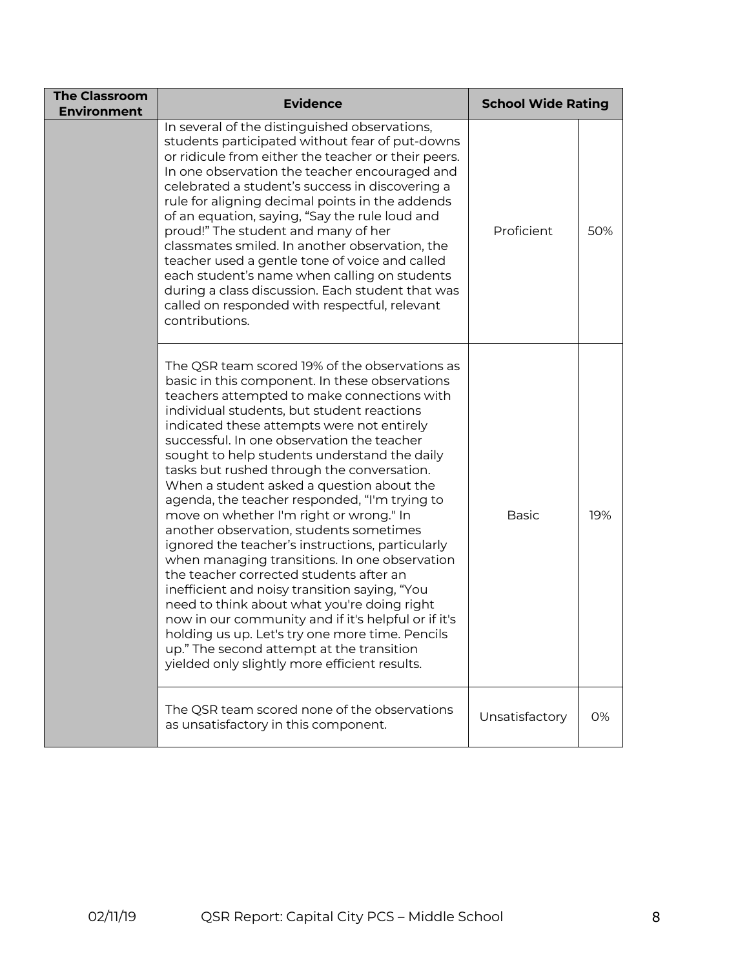| <b>The Classroom</b><br><b>Environment</b> | <b>Evidence</b>                                                                                                                                                                                                                                                                                                                                                                                                                                                                                                                                                                                                                                                                                                                                                                                                                                                                                                                                                                                                                     | <b>School Wide Rating</b> |     |
|--------------------------------------------|-------------------------------------------------------------------------------------------------------------------------------------------------------------------------------------------------------------------------------------------------------------------------------------------------------------------------------------------------------------------------------------------------------------------------------------------------------------------------------------------------------------------------------------------------------------------------------------------------------------------------------------------------------------------------------------------------------------------------------------------------------------------------------------------------------------------------------------------------------------------------------------------------------------------------------------------------------------------------------------------------------------------------------------|---------------------------|-----|
|                                            | In several of the distinguished observations,<br>students participated without fear of put-downs<br>or ridicule from either the teacher or their peers.<br>In one observation the teacher encouraged and<br>celebrated a student's success in discovering a<br>rule for aligning decimal points in the addends<br>of an equation, saying, "Say the rule loud and<br>proud!" The student and many of her<br>classmates smiled. In another observation, the<br>teacher used a gentle tone of voice and called<br>each student's name when calling on students<br>during a class discussion. Each student that was<br>called on responded with respectful, relevant<br>contributions.                                                                                                                                                                                                                                                                                                                                                  | Proficient                | 50% |
|                                            | The QSR team scored 19% of the observations as<br>basic in this component. In these observations<br>teachers attempted to make connections with<br>individual students, but student reactions<br>indicated these attempts were not entirely<br>successful. In one observation the teacher<br>sought to help students understand the daily<br>tasks but rushed through the conversation.<br>When a student asked a question about the<br>agenda, the teacher responded, "I'm trying to<br>move on whether I'm right or wrong." In<br>another observation, students sometimes<br>ignored the teacher's instructions, particularly<br>when managing transitions. In one observation<br>the teacher corrected students after an<br>inefficient and noisy transition saying, "You<br>need to think about what you're doing right<br>now in our community and if it's helpful or if it's<br>holding us up. Let's try one more time. Pencils<br>up." The second attempt at the transition<br>yielded only slightly more efficient results. | <b>Basic</b>              | 19% |
|                                            | The QSR team scored none of the observations<br>as unsatisfactory in this component.                                                                                                                                                                                                                                                                                                                                                                                                                                                                                                                                                                                                                                                                                                                                                                                                                                                                                                                                                | Unsatisfactory            | 0%  |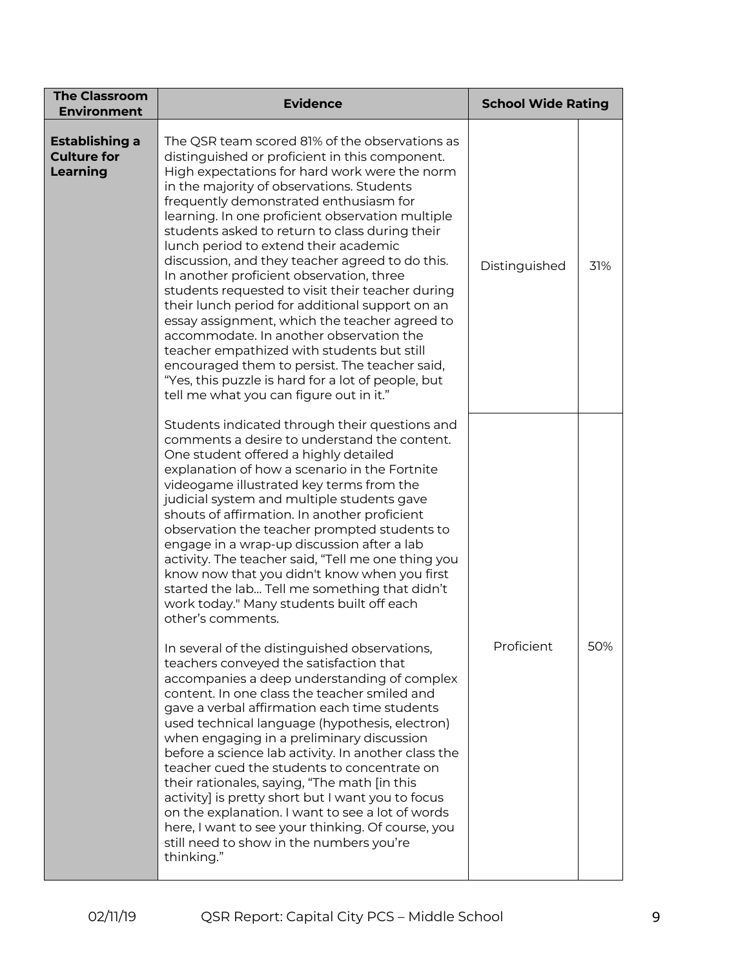| <b>The Classroom</b><br><b>Environment</b>              | <b>Evidence</b>                                                                                                                                                                                                                                                                                                                                                                                                                                                                                                                                                                                                                                                                                                                                                                                                                                                                           | <b>School Wide Rating</b> |     |
|---------------------------------------------------------|-------------------------------------------------------------------------------------------------------------------------------------------------------------------------------------------------------------------------------------------------------------------------------------------------------------------------------------------------------------------------------------------------------------------------------------------------------------------------------------------------------------------------------------------------------------------------------------------------------------------------------------------------------------------------------------------------------------------------------------------------------------------------------------------------------------------------------------------------------------------------------------------|---------------------------|-----|
| <b>Establishing a</b><br><b>Culture for</b><br>Learning | The QSR team scored 81% of the observations as<br>distinguished or proficient in this component.<br>High expectations for hard work were the norm<br>in the majority of observations. Students<br>frequently demonstrated enthusiasm for<br>learning. In one proficient observation multiple<br>students asked to return to class during their<br>lunch period to extend their academic<br>discussion, and they teacher agreed to do this.<br>In another proficient observation, three<br>students requested to visit their teacher during<br>their lunch period for additional support on an<br>essay assignment, which the teacher agreed to<br>accommodate. In another observation the<br>teacher empathized with students but still<br>encouraged them to persist. The teacher said,<br>"Yes, this puzzle is hard for a lot of people, but<br>tell me what you can figure out in it." | Distinguished             | 31% |
|                                                         | Students indicated through their questions and<br>comments a desire to understand the content.<br>One student offered a highly detailed<br>explanation of how a scenario in the Fortnite<br>videogame illustrated key terms from the<br>judicial system and multiple students gave<br>shouts of affirmation. In another proficient<br>observation the teacher prompted students to<br>engage in a wrap-up discussion after a lab<br>activity. The teacher said, "Tell me one thing you<br>know now that you didn't know when you first<br>started the lab Tell me something that didn't<br>work today." Many students built off each<br>other's comments.                                                                                                                                                                                                                                 |                           |     |
|                                                         | In several of the distinguished observations,<br>teachers conveyed the satisfaction that<br>accompanies a deep understanding of complex<br>content. In one class the teacher smiled and<br>gave a verbal affirmation each time students<br>used technical language (hypothesis, electron)<br>when engaging in a preliminary discussion<br>before a science lab activity. In another class the<br>teacher cued the students to concentrate on<br>their rationales, saying, "The math [in this<br>activity] is pretty short but I want you to focus<br>on the explanation. I want to see a lot of words<br>here, I want to see your thinking. Of course, you<br>still need to show in the numbers you're<br>thinking."                                                                                                                                                                      | Proficient                | 50% |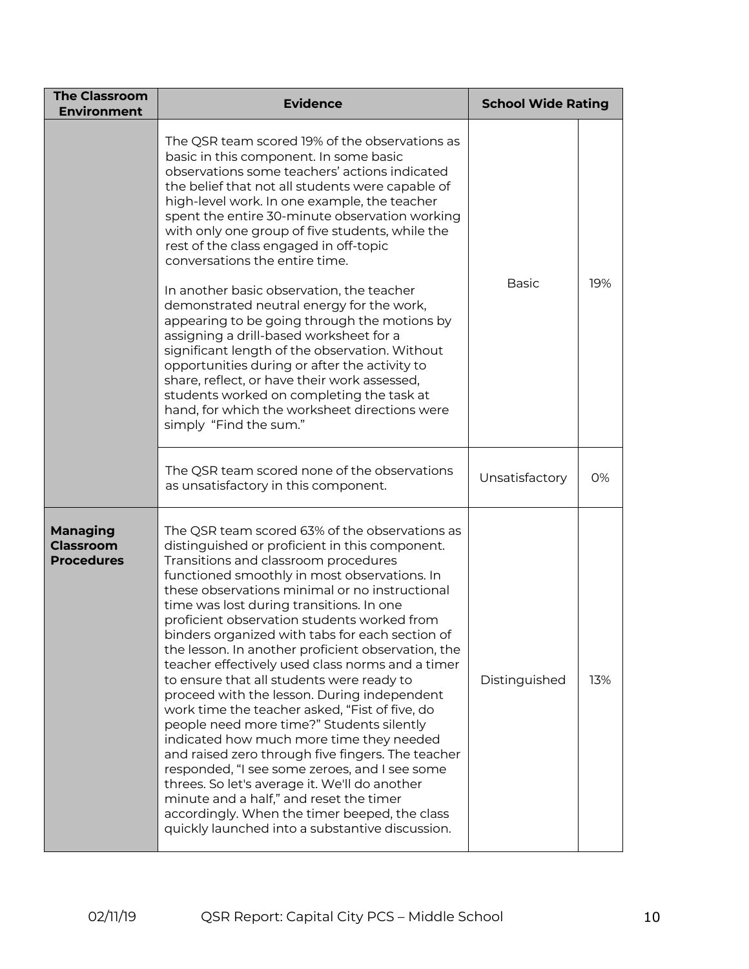| <b>The Classroom</b><br><b>Environment</b>                                                                                                                                                                                                                                                                                                                                                                                                                   | <b>Evidence</b>                                                                                                                                                                                                                                                                                                                                                                                                                                                                                                                                                                                                                                                                                                                                                                                                                                                                                                                                                                                                                                 | <b>School Wide Rating</b> |     |
|--------------------------------------------------------------------------------------------------------------------------------------------------------------------------------------------------------------------------------------------------------------------------------------------------------------------------------------------------------------------------------------------------------------------------------------------------------------|-------------------------------------------------------------------------------------------------------------------------------------------------------------------------------------------------------------------------------------------------------------------------------------------------------------------------------------------------------------------------------------------------------------------------------------------------------------------------------------------------------------------------------------------------------------------------------------------------------------------------------------------------------------------------------------------------------------------------------------------------------------------------------------------------------------------------------------------------------------------------------------------------------------------------------------------------------------------------------------------------------------------------------------------------|---------------------------|-----|
|                                                                                                                                                                                                                                                                                                                                                                                                                                                              | The QSR team scored 19% of the observations as<br>basic in this component. In some basic<br>observations some teachers' actions indicated<br>the belief that not all students were capable of<br>high-level work. In one example, the teacher<br>spent the entire 30-minute observation working<br>with only one group of five students, while the<br>rest of the class engaged in off-topic<br>conversations the entire time.                                                                                                                                                                                                                                                                                                                                                                                                                                                                                                                                                                                                                  |                           | 19% |
| In another basic observation, the teacher<br>demonstrated neutral energy for the work,<br>appearing to be going through the motions by<br>assigning a drill-based worksheet for a<br>significant length of the observation. Without<br>opportunities during or after the activity to<br>share, reflect, or have their work assessed,<br>students worked on completing the task at<br>hand, for which the worksheet directions were<br>simply "Find the sum." | <b>Basic</b>                                                                                                                                                                                                                                                                                                                                                                                                                                                                                                                                                                                                                                                                                                                                                                                                                                                                                                                                                                                                                                    |                           |     |
|                                                                                                                                                                                                                                                                                                                                                                                                                                                              | The QSR team scored none of the observations<br>as unsatisfactory in this component.                                                                                                                                                                                                                                                                                                                                                                                                                                                                                                                                                                                                                                                                                                                                                                                                                                                                                                                                                            | Unsatisfactory            | 0%  |
| <b>Managing</b><br><b>Classroom</b><br><b>Procedures</b>                                                                                                                                                                                                                                                                                                                                                                                                     | The QSR team scored 63% of the observations as<br>distinguished or proficient in this component.<br>Transitions and classroom procedures<br>functioned smoothly in most observations. In<br>these observations minimal or no instructional<br>time was lost during transitions. In one<br>proficient observation students worked from<br>binders organized with tabs for each section of<br>the lesson. In another proficient observation, the<br>teacher effectively used class norms and a timer<br>to ensure that all students were ready to<br>proceed with the lesson. During independent<br>work time the teacher asked, "Fist of five, do<br>people need more time?" Students silently<br>indicated how much more time they needed<br>and raised zero through five fingers. The teacher<br>responded, "I see some zeroes, and I see some<br>threes. So let's average it. We'll do another<br>minute and a half," and reset the timer<br>accordingly. When the timer beeped, the class<br>quickly launched into a substantive discussion. | Distinguished             | 13% |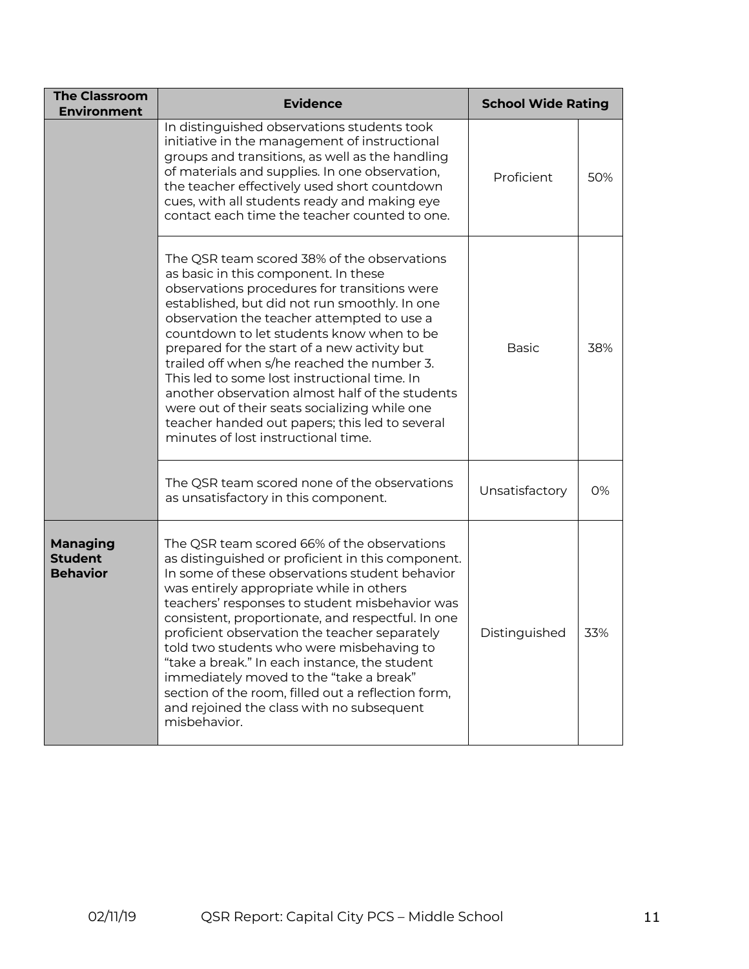| <b>The Classroom</b><br><b>Environment</b>           | <b>Evidence</b>                                                                                                                                                                                                                                                                                                                                                                                                                                                                                                                                                                                                             | <b>School Wide Rating</b> |     |
|------------------------------------------------------|-----------------------------------------------------------------------------------------------------------------------------------------------------------------------------------------------------------------------------------------------------------------------------------------------------------------------------------------------------------------------------------------------------------------------------------------------------------------------------------------------------------------------------------------------------------------------------------------------------------------------------|---------------------------|-----|
|                                                      | In distinguished observations students took<br>initiative in the management of instructional<br>groups and transitions, as well as the handling<br>of materials and supplies. In one observation,<br>the teacher effectively used short countdown<br>cues, with all students ready and making eye<br>contact each time the teacher counted to one.                                                                                                                                                                                                                                                                          | Proficient                | 50% |
|                                                      | The QSR team scored 38% of the observations<br>as basic in this component. In these<br>observations procedures for transitions were<br>established, but did not run smoothly. In one<br>observation the teacher attempted to use a<br>countdown to let students know when to be<br>prepared for the start of a new activity but<br>trailed off when s/he reached the number 3.<br>This led to some lost instructional time. In<br>another observation almost half of the students<br>were out of their seats socializing while one<br>teacher handed out papers; this led to several<br>minutes of lost instructional time. | <b>Basic</b>              | 38% |
|                                                      | The QSR team scored none of the observations<br>as unsatisfactory in this component.                                                                                                                                                                                                                                                                                                                                                                                                                                                                                                                                        | Unsatisfactory            | 0%  |
| <b>Managing</b><br><b>Student</b><br><b>Behavior</b> | The QSR team scored 66% of the observations<br>as distinguished or proficient in this component.<br>In some of these observations student behavior<br>was entirely appropriate while in others<br>teachers' responses to student misbehavior was<br>consistent, proportionate, and respectful. In one<br>proficient observation the teacher separately<br>told two students who were misbehaving to<br>"take a break." In each instance, the student<br>immediately moved to the "take a break"<br>section of the room, filled out a reflection form,<br>and rejoined the class with no subsequent<br>misbehavior.          | Distinguished             | 33% |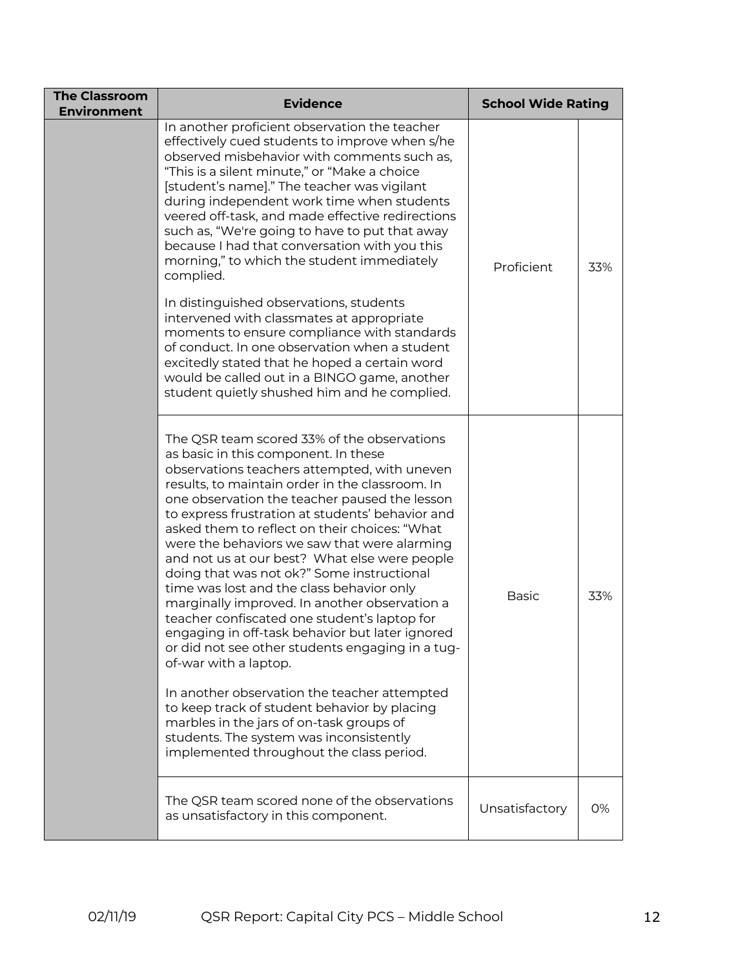| <b>The Classroom</b><br><b>Environment</b> | <b>Evidence</b>                                                                                                                                                                                                                                                                                                                                                                                                                                                                                                                                                                                                                                                                                                                                                                                                                                                                                                                                                                                              | <b>School Wide Rating</b> |     |
|--------------------------------------------|--------------------------------------------------------------------------------------------------------------------------------------------------------------------------------------------------------------------------------------------------------------------------------------------------------------------------------------------------------------------------------------------------------------------------------------------------------------------------------------------------------------------------------------------------------------------------------------------------------------------------------------------------------------------------------------------------------------------------------------------------------------------------------------------------------------------------------------------------------------------------------------------------------------------------------------------------------------------------------------------------------------|---------------------------|-----|
|                                            | In another proficient observation the teacher<br>effectively cued students to improve when s/he<br>observed misbehavior with comments such as,<br>"This is a silent minute," or "Make a choice<br>[student's name]." The teacher was vigilant<br>during independent work time when students<br>veered off-task, and made effective redirections<br>such as, "We're going to have to put that away<br>because I had that conversation with you this<br>morning," to which the student immediately<br>complied.                                                                                                                                                                                                                                                                                                                                                                                                                                                                                                | Proficient                | 33% |
|                                            | In distinguished observations, students<br>intervened with classmates at appropriate<br>moments to ensure compliance with standards<br>of conduct. In one observation when a student<br>excitedly stated that he hoped a certain word<br>would be called out in a BINGO game, another<br>student quietly shushed him and he complied.                                                                                                                                                                                                                                                                                                                                                                                                                                                                                                                                                                                                                                                                        |                           |     |
|                                            | The QSR team scored 33% of the observations<br>as basic in this component. In these<br>observations teachers attempted, with uneven<br>results, to maintain order in the classroom. In<br>one observation the teacher paused the lesson<br>to express frustration at students' behavior and<br>asked them to reflect on their choices: "What<br>were the behaviors we saw that were alarming<br>and not us at our best? What else were people<br>doing that was not ok?" Some instructional<br>time was lost and the class behavior only<br>marginally improved. In another observation a<br>teacher confiscated one student's laptop for<br>engaging in off-task behavior but later ignored<br>or did not see other students engaging in a tug-<br>of-war with a laptop.<br>In another observation the teacher attempted<br>to keep track of student behavior by placing<br>marbles in the jars of on-task groups of<br>students. The system was inconsistently<br>implemented throughout the class period. | <b>Basic</b>              | 33% |
|                                            | The QSR team scored none of the observations<br>as unsatisfactory in this component.                                                                                                                                                                                                                                                                                                                                                                                                                                                                                                                                                                                                                                                                                                                                                                                                                                                                                                                         | Unsatisfactory            | 0%  |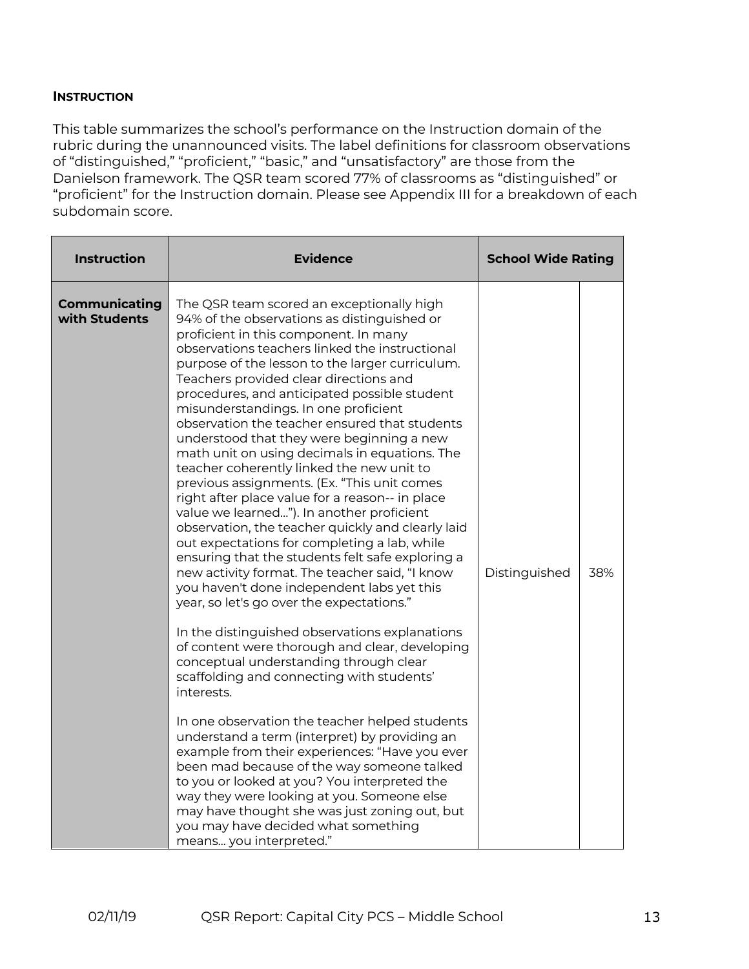#### **INSTRUCTION**

This table summarizes the school's performance on the Instruction domain of the rubric during the unannounced visits. The label definitions for classroom observations of "distinguished," "proficient," "basic," and "unsatisfactory" are those from the Danielson framework. The QSR team scored 77% of classrooms as "distinguished" or "proficient" for the Instruction domain. Please see Appendix III for a breakdown of each subdomain score.

| <b>Instruction</b>                    | <b>Evidence</b>                                                                                                                                                                                                                                                                                                                                                                                                                                                                                                                                                                                                                                                                                                                                                                                                                                                                                                                                                                                                                                                                                                                                                                                                                                                                                                                                                                                                                                                                                                                                                                                                                                        | <b>School Wide Rating</b> |     |
|---------------------------------------|--------------------------------------------------------------------------------------------------------------------------------------------------------------------------------------------------------------------------------------------------------------------------------------------------------------------------------------------------------------------------------------------------------------------------------------------------------------------------------------------------------------------------------------------------------------------------------------------------------------------------------------------------------------------------------------------------------------------------------------------------------------------------------------------------------------------------------------------------------------------------------------------------------------------------------------------------------------------------------------------------------------------------------------------------------------------------------------------------------------------------------------------------------------------------------------------------------------------------------------------------------------------------------------------------------------------------------------------------------------------------------------------------------------------------------------------------------------------------------------------------------------------------------------------------------------------------------------------------------------------------------------------------------|---------------------------|-----|
| <b>Communicating</b><br>with Students | The QSR team scored an exceptionally high<br>94% of the observations as distinguished or<br>proficient in this component. In many<br>observations teachers linked the instructional<br>purpose of the lesson to the larger curriculum.<br>Teachers provided clear directions and<br>procedures, and anticipated possible student<br>misunderstandings. In one proficient<br>observation the teacher ensured that students<br>understood that they were beginning a new<br>math unit on using decimals in equations. The<br>teacher coherently linked the new unit to<br>previous assignments. (Ex. "This unit comes<br>right after place value for a reason-- in place<br>value we learned"). In another proficient<br>observation, the teacher quickly and clearly laid<br>out expectations for completing a lab, while<br>ensuring that the students felt safe exploring a<br>new activity format. The teacher said, "I know<br>you haven't done independent labs yet this<br>year, so let's go over the expectations."<br>In the distinguished observations explanations<br>of content were thorough and clear, developing<br>conceptual understanding through clear<br>scaffolding and connecting with students'<br>interests.<br>In one observation the teacher helped students<br>understand a term (interpret) by providing an<br>example from their experiences: "Have you ever<br>been mad because of the way someone talked<br>to you or looked at you? You interpreted the<br>way they were looking at you. Someone else<br>may have thought she was just zoning out, but<br>you may have decided what something<br>means you interpreted." | Distinguished             | 38% |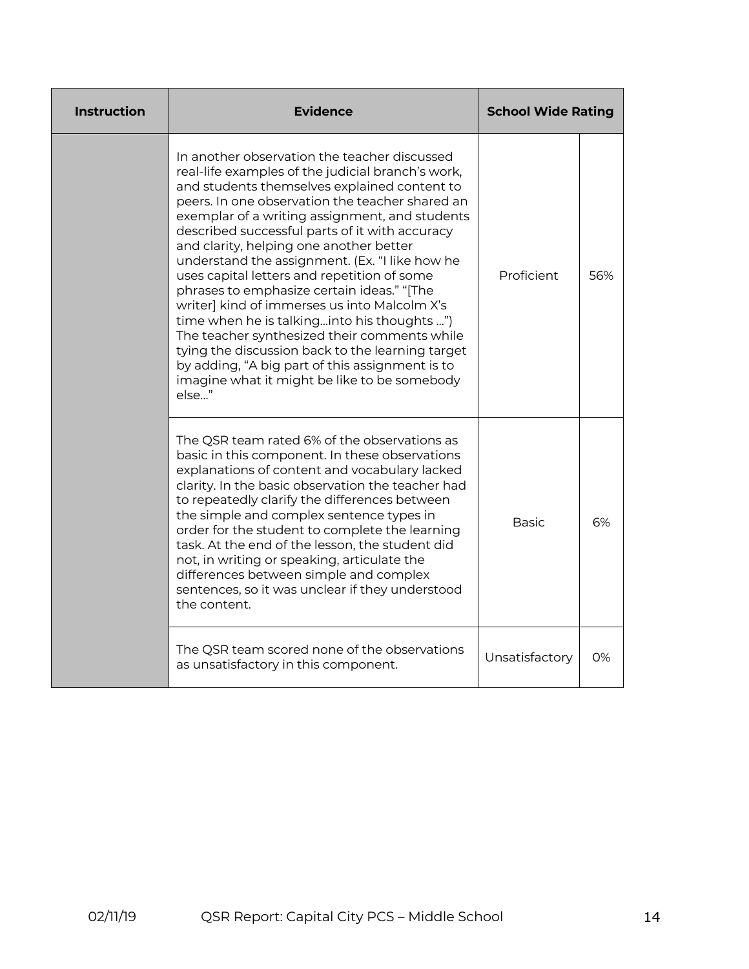| <b>Instruction</b> | <b>Evidence</b>                                                                                                                                                                                                                                                                                                                                                                                                                                                                                                                                                                                                                                                                                                                                                                                                   | <b>School Wide Rating</b> |     |
|--------------------|-------------------------------------------------------------------------------------------------------------------------------------------------------------------------------------------------------------------------------------------------------------------------------------------------------------------------------------------------------------------------------------------------------------------------------------------------------------------------------------------------------------------------------------------------------------------------------------------------------------------------------------------------------------------------------------------------------------------------------------------------------------------------------------------------------------------|---------------------------|-----|
|                    | In another observation the teacher discussed<br>real-life examples of the judicial branch's work,<br>and students themselves explained content to<br>peers. In one observation the teacher shared an<br>exemplar of a writing assignment, and students<br>described successful parts of it with accuracy<br>and clarity, helping one another better<br>understand the assignment. (Ex. "I like how he<br>uses capital letters and repetition of some<br>phrases to emphasize certain ideas." "[The<br>writer] kind of immerses us into Malcolm X's<br>time when he is talkinginto his thoughts ")<br>The teacher synthesized their comments while<br>tying the discussion back to the learning target<br>by adding, "A big part of this assignment is to<br>imagine what it might be like to be somebody<br>else" | Proficient                | 56% |
|                    | The QSR team rated 6% of the observations as<br>basic in this component. In these observations<br>explanations of content and vocabulary lacked<br>clarity. In the basic observation the teacher had<br>to repeatedly clarify the differences between<br>the simple and complex sentence types in<br>order for the student to complete the learning<br>task. At the end of the lesson, the student did<br>not, in writing or speaking, articulate the<br>differences between simple and complex<br>sentences, so it was unclear if they understood<br>the content.                                                                                                                                                                                                                                                | <b>Basic</b>              | 6%  |
|                    | The QSR team scored none of the observations<br>as unsatisfactory in this component.                                                                                                                                                                                                                                                                                                                                                                                                                                                                                                                                                                                                                                                                                                                              | Unsatisfactory            | 0%  |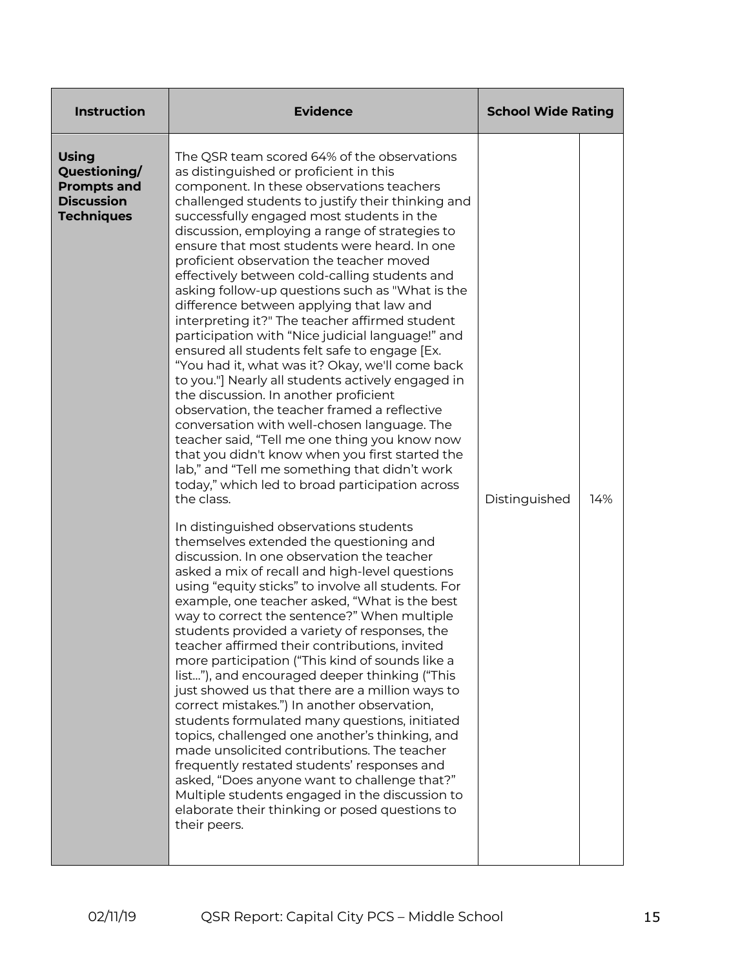| <b>Instruction</b>                                                                           | <b>Evidence</b>                                                                                                                                                                                                                                                                                                                                                                                                                                                                                                                                                                                                                                                                                                                                                                                                                                                                                                                                                                                                                                                                                                                                                                                                                                                                                                                                                                                                                                                                                                                                                                                                                                                                                                                                                                                                                                                                                                                                                                                                                                                                                                                                                                         |               | <b>School Wide Rating</b> |  |
|----------------------------------------------------------------------------------------------|-----------------------------------------------------------------------------------------------------------------------------------------------------------------------------------------------------------------------------------------------------------------------------------------------------------------------------------------------------------------------------------------------------------------------------------------------------------------------------------------------------------------------------------------------------------------------------------------------------------------------------------------------------------------------------------------------------------------------------------------------------------------------------------------------------------------------------------------------------------------------------------------------------------------------------------------------------------------------------------------------------------------------------------------------------------------------------------------------------------------------------------------------------------------------------------------------------------------------------------------------------------------------------------------------------------------------------------------------------------------------------------------------------------------------------------------------------------------------------------------------------------------------------------------------------------------------------------------------------------------------------------------------------------------------------------------------------------------------------------------------------------------------------------------------------------------------------------------------------------------------------------------------------------------------------------------------------------------------------------------------------------------------------------------------------------------------------------------------------------------------------------------------------------------------------------------|---------------|---------------------------|--|
| <b>Using</b><br>Questioning/<br><b>Prompts and</b><br><b>Discussion</b><br><b>Techniques</b> | The QSR team scored 64% of the observations<br>as distinguished or proficient in this<br>component. In these observations teachers<br>challenged students to justify their thinking and<br>successfully engaged most students in the<br>discussion, employing a range of strategies to<br>ensure that most students were heard. In one<br>proficient observation the teacher moved<br>effectively between cold-calling students and<br>asking follow-up questions such as "What is the<br>difference between applying that law and<br>interpreting it?" The teacher affirmed student<br>participation with "Nice judicial language!" and<br>ensured all students felt safe to engage [Ex.<br>"You had it, what was it? Okay, we'll come back<br>to you."] Nearly all students actively engaged in<br>the discussion. In another proficient<br>observation, the teacher framed a reflective<br>conversation with well-chosen language. The<br>teacher said, "Tell me one thing you know now<br>that you didn't know when you first started the<br>lab," and "Tell me something that didn't work<br>today," which led to broad participation across<br>the class.<br>In distinguished observations students<br>themselves extended the questioning and<br>discussion. In one observation the teacher<br>asked a mix of recall and high-level questions<br>using "equity sticks" to involve all students. For<br>example, one teacher asked, "What is the best<br>way to correct the sentence?" When multiple<br>students provided a variety of responses, the<br>teacher affirmed their contributions, invited<br>more participation ("This kind of sounds like a<br>list"), and encouraged deeper thinking ("This<br>just showed us that there are a million ways to<br>correct mistakes.") In another observation,<br>students formulated many questions, initiated<br>topics, challenged one another's thinking, and<br>made unsolicited contributions. The teacher<br>frequently restated students' responses and<br>asked, "Does anyone want to challenge that?"<br>Multiple students engaged in the discussion to<br>elaborate their thinking or posed questions to<br>their peers. | Distinguished | 14%                       |  |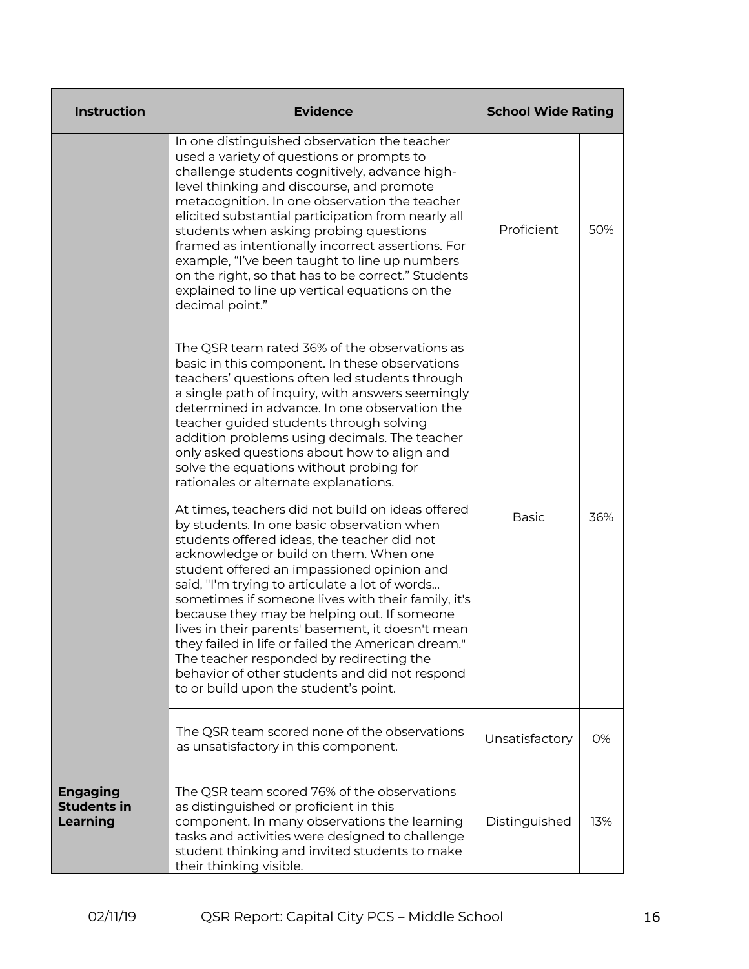| <b>Instruction</b>                                | <b>Evidence</b>                                                                                                                                                                                                                                                                                                                                                                                                                                                                                                                                                                                                                                 | <b>School Wide Rating</b> |     |
|---------------------------------------------------|-------------------------------------------------------------------------------------------------------------------------------------------------------------------------------------------------------------------------------------------------------------------------------------------------------------------------------------------------------------------------------------------------------------------------------------------------------------------------------------------------------------------------------------------------------------------------------------------------------------------------------------------------|---------------------------|-----|
|                                                   | In one distinguished observation the teacher<br>used a variety of questions or prompts to<br>challenge students cognitively, advance high-<br>level thinking and discourse, and promote<br>metacognition. In one observation the teacher<br>elicited substantial participation from nearly all<br>students when asking probing questions<br>framed as intentionally incorrect assertions. For<br>example, "I've been taught to line up numbers<br>on the right, so that has to be correct." Students<br>explained to line up vertical equations on the<br>decimal point."                                                                       | Proficient                | 50% |
|                                                   | The QSR team rated 36% of the observations as<br>basic in this component. In these observations<br>teachers' questions often led students through<br>a single path of inquiry, with answers seemingly<br>determined in advance. In one observation the<br>teacher guided students through solving<br>addition problems using decimals. The teacher<br>only asked questions about how to align and<br>solve the equations without probing for<br>rationales or alternate explanations.                                                                                                                                                           |                           |     |
|                                                   | At times, teachers did not build on ideas offered<br>by students. In one basic observation when<br>students offered ideas, the teacher did not<br>acknowledge or build on them. When one<br>student offered an impassioned opinion and<br>said, "I'm trying to articulate a lot of words<br>sometimes if someone lives with their family, it's<br>because they may be helping out. If someone<br>lives in their parents' basement, it doesn't mean<br>they failed in life or failed the American dream."<br>The teacher responded by redirecting the<br>behavior of other students and did not respond<br>to or build upon the student's point. | <b>Basic</b>              | 36% |
|                                                   | The QSR team scored none of the observations<br>as unsatisfactory in this component.                                                                                                                                                                                                                                                                                                                                                                                                                                                                                                                                                            | Unsatisfactory            | 0%  |
| <b>Engaging</b><br><b>Students in</b><br>Learning | The QSR team scored 76% of the observations<br>as distinguished or proficient in this<br>component. In many observations the learning<br>tasks and activities were designed to challenge<br>student thinking and invited students to make<br>their thinking visible.                                                                                                                                                                                                                                                                                                                                                                            | Distinguished             | 13% |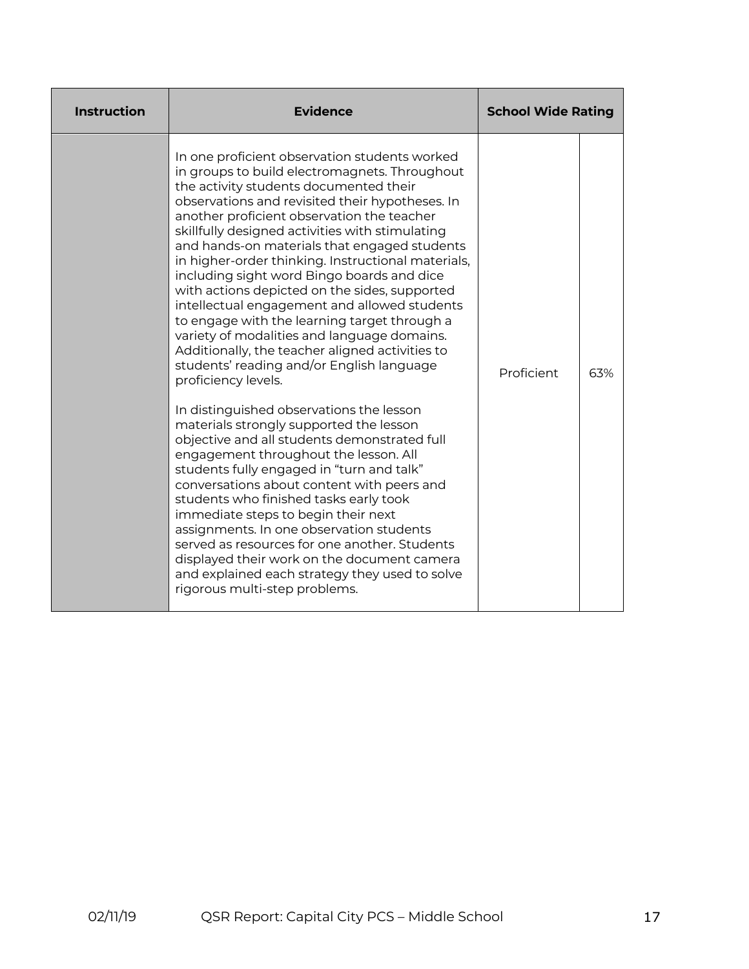| <b>Instruction</b> | <b>Evidence</b>                                                                                                                                                                                                                                                                                                                                                                                                                                                                                                                                                                                                                                                                                                                                                                                                                                                                                                                                                                                                                                                                                                                                                                                                                                                                                                                                                    | <b>School Wide Rating</b> |     |
|--------------------|--------------------------------------------------------------------------------------------------------------------------------------------------------------------------------------------------------------------------------------------------------------------------------------------------------------------------------------------------------------------------------------------------------------------------------------------------------------------------------------------------------------------------------------------------------------------------------------------------------------------------------------------------------------------------------------------------------------------------------------------------------------------------------------------------------------------------------------------------------------------------------------------------------------------------------------------------------------------------------------------------------------------------------------------------------------------------------------------------------------------------------------------------------------------------------------------------------------------------------------------------------------------------------------------------------------------------------------------------------------------|---------------------------|-----|
|                    | In one proficient observation students worked<br>in groups to build electromagnets. Throughout<br>the activity students documented their<br>observations and revisited their hypotheses. In<br>another proficient observation the teacher<br>skillfully designed activities with stimulating<br>and hands-on materials that engaged students<br>in higher-order thinking. Instructional materials,<br>including sight word Bingo boards and dice<br>with actions depicted on the sides, supported<br>intellectual engagement and allowed students<br>to engage with the learning target through a<br>variety of modalities and language domains.<br>Additionally, the teacher aligned activities to<br>students' reading and/or English language<br>proficiency levels.<br>In distinguished observations the lesson<br>materials strongly supported the lesson<br>objective and all students demonstrated full<br>engagement throughout the lesson. All<br>students fully engaged in "turn and talk"<br>conversations about content with peers and<br>students who finished tasks early took<br>immediate steps to begin their next<br>assignments. In one observation students<br>served as resources for one another. Students<br>displayed their work on the document camera<br>and explained each strategy they used to solve<br>rigorous multi-step problems. | Proficient                | 63% |
|                    |                                                                                                                                                                                                                                                                                                                                                                                                                                                                                                                                                                                                                                                                                                                                                                                                                                                                                                                                                                                                                                                                                                                                                                                                                                                                                                                                                                    |                           |     |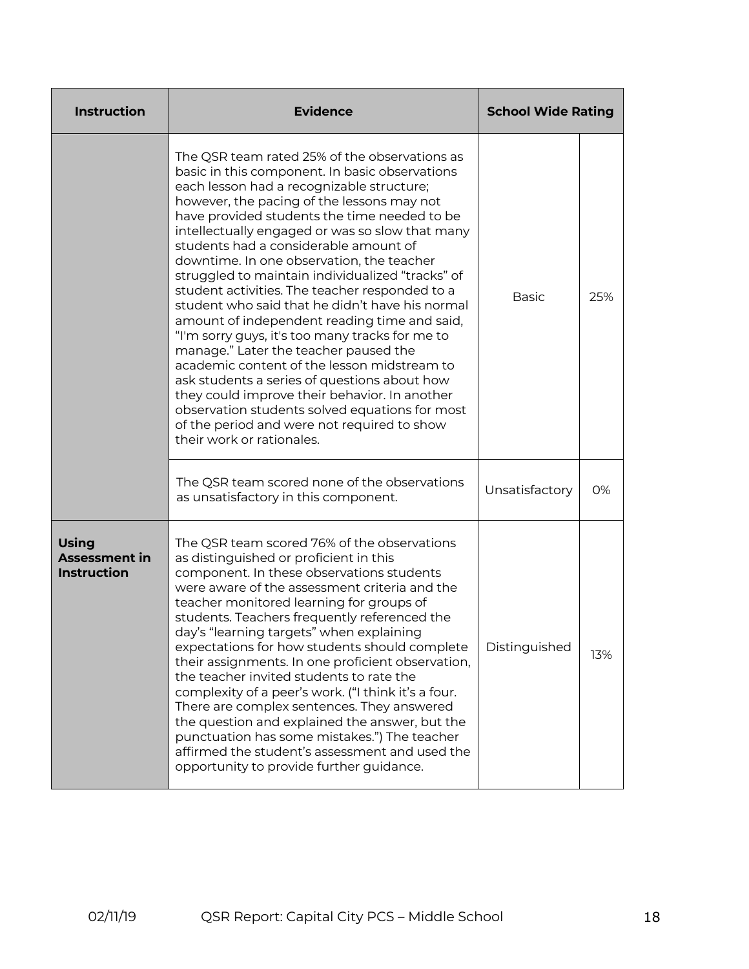| <b>Instruction</b>                                         | <b>Evidence</b>                                                                                                                                                                                                                                                                                                                                                                                                                                                                                                                                                                                                                                                                                                                                                                                                                                                                                                                                                        | <b>School Wide Rating</b> |     |
|------------------------------------------------------------|------------------------------------------------------------------------------------------------------------------------------------------------------------------------------------------------------------------------------------------------------------------------------------------------------------------------------------------------------------------------------------------------------------------------------------------------------------------------------------------------------------------------------------------------------------------------------------------------------------------------------------------------------------------------------------------------------------------------------------------------------------------------------------------------------------------------------------------------------------------------------------------------------------------------------------------------------------------------|---------------------------|-----|
|                                                            | The QSR team rated 25% of the observations as<br>basic in this component. In basic observations<br>each lesson had a recognizable structure;<br>however, the pacing of the lessons may not<br>have provided students the time needed to be<br>intellectually engaged or was so slow that many<br>students had a considerable amount of<br>downtime. In one observation, the teacher<br>struggled to maintain individualized "tracks" of<br>student activities. The teacher responded to a<br>student who said that he didn't have his normal<br>amount of independent reading time and said,<br>"I'm sorry guys, it's too many tracks for me to<br>manage." Later the teacher paused the<br>academic content of the lesson midstream to<br>ask students a series of questions about how<br>they could improve their behavior. In another<br>observation students solved equations for most<br>of the period and were not required to show<br>their work or rationales. | <b>Basic</b>              | 25% |
|                                                            | The QSR team scored none of the observations<br>as unsatisfactory in this component.                                                                                                                                                                                                                                                                                                                                                                                                                                                                                                                                                                                                                                                                                                                                                                                                                                                                                   | Unsatisfactory            | 0%  |
| <b>Using</b><br><b>Assessment in</b><br><b>Instruction</b> | The QSR team scored 76% of the observations<br>as distinguished or proficient in this<br>component. In these observations students<br>were aware of the assessment criteria and the<br>teacher monitored learning for groups of<br>students. Teachers frequently referenced the<br>day's "learning targets" when explaining<br>expectations for how students should complete<br>their assignments. In one proficient observation,<br>the teacher invited students to rate the<br>complexity of a peer's work. ("I think it's a four.<br>There are complex sentences. They answered<br>the question and explained the answer, but the<br>punctuation has some mistakes.") The teacher<br>affirmed the student's assessment and used the<br>opportunity to provide further guidance.                                                                                                                                                                                     | Distinguished             | 13% |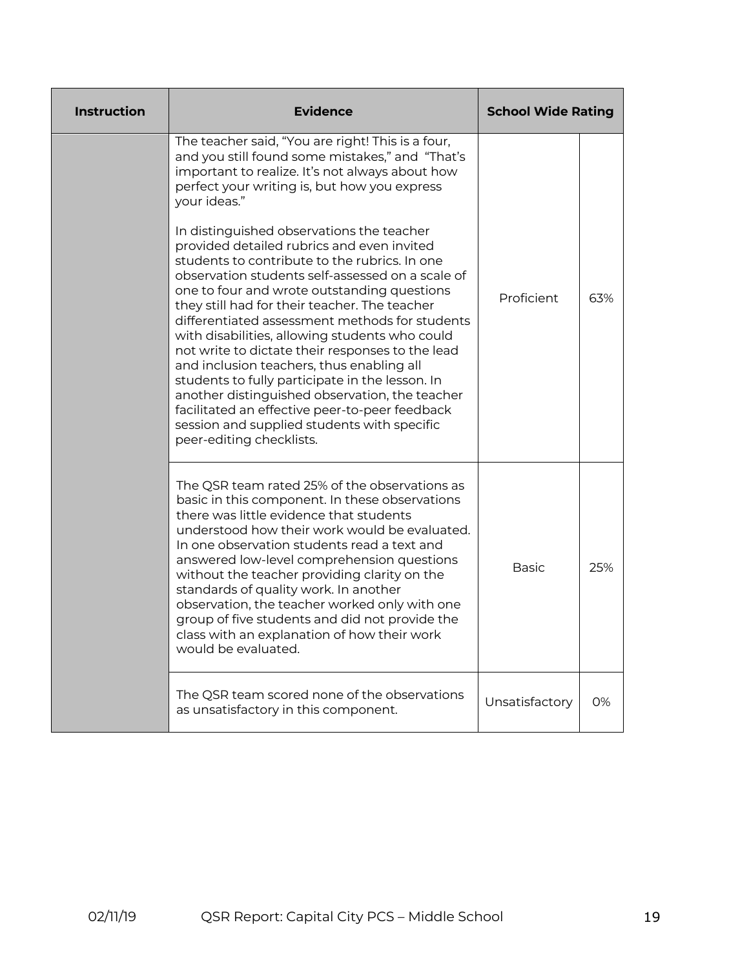| <b>Instruction</b> | <b>Evidence</b>                                                                                                                                                                                                                                                                                                                                                                                                                                                                                                                                                                                                                                                                                                                                                                                                                                                                                                                                                | <b>School Wide Rating</b> |     |
|--------------------|----------------------------------------------------------------------------------------------------------------------------------------------------------------------------------------------------------------------------------------------------------------------------------------------------------------------------------------------------------------------------------------------------------------------------------------------------------------------------------------------------------------------------------------------------------------------------------------------------------------------------------------------------------------------------------------------------------------------------------------------------------------------------------------------------------------------------------------------------------------------------------------------------------------------------------------------------------------|---------------------------|-----|
|                    | The teacher said, "You are right! This is a four,<br>and you still found some mistakes," and "That's<br>important to realize. It's not always about how<br>perfect your writing is, but how you express<br>your ideas."<br>In distinguished observations the teacher<br>provided detailed rubrics and even invited<br>students to contribute to the rubrics. In one<br>observation students self-assessed on a scale of<br>one to four and wrote outstanding questions<br>they still had for their teacher. The teacher<br>differentiated assessment methods for students<br>with disabilities, allowing students who could<br>not write to dictate their responses to the lead<br>and inclusion teachers, thus enabling all<br>students to fully participate in the lesson. In<br>another distinguished observation, the teacher<br>facilitated an effective peer-to-peer feedback<br>session and supplied students with specific<br>peer-editing checklists. | Proficient                | 63% |
|                    | The QSR team rated 25% of the observations as<br>basic in this component. In these observations<br>there was little evidence that students<br>understood how their work would be evaluated.<br>In one observation students read a text and<br>answered low-level comprehension questions<br>without the teacher providing clarity on the<br>standards of quality work. In another<br>observation, the teacher worked only with one<br>group of five students and did not provide the<br>class with an explanation of how their work<br>would be evaluated.                                                                                                                                                                                                                                                                                                                                                                                                     | <b>Basic</b>              | 25% |
|                    | The QSR team scored none of the observations<br>as unsatisfactory in this component.                                                                                                                                                                                                                                                                                                                                                                                                                                                                                                                                                                                                                                                                                                                                                                                                                                                                           | Unsatisfactory            | 0%  |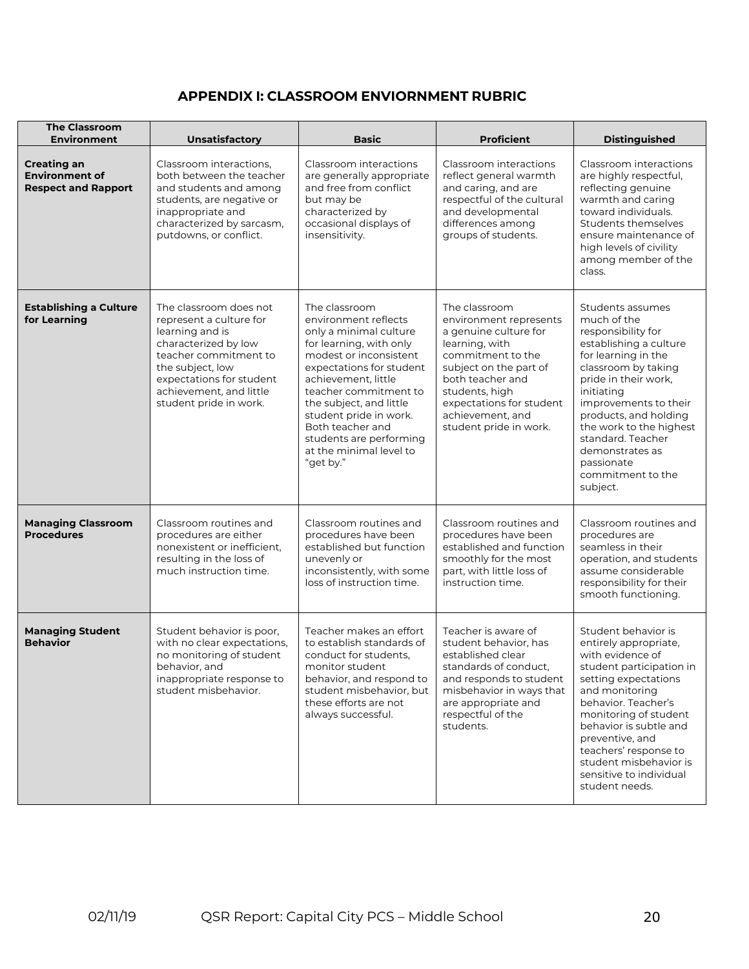## **APPENDIX I: CLASSROOM ENVIORNMENT RUBRIC**

| <b>The Classroom</b><br><b>Environment</b>                                | Unsatisfactory                                                                                                                                                                                                             | <b>Basic</b>                                                                                                                                                                                                                                                                                                                                 | <b>Proficient</b>                                                                                                                                                                                                                                 | <b>Distinguished</b>                                                                                                                                                                                                                                                                                                                    |
|---------------------------------------------------------------------------|----------------------------------------------------------------------------------------------------------------------------------------------------------------------------------------------------------------------------|----------------------------------------------------------------------------------------------------------------------------------------------------------------------------------------------------------------------------------------------------------------------------------------------------------------------------------------------|---------------------------------------------------------------------------------------------------------------------------------------------------------------------------------------------------------------------------------------------------|-----------------------------------------------------------------------------------------------------------------------------------------------------------------------------------------------------------------------------------------------------------------------------------------------------------------------------------------|
| <b>Creating an</b><br><b>Environment of</b><br><b>Respect and Rapport</b> | Classroom interactions.<br>both between the teacher<br>and students and among<br>students, are negative or<br>inappropriate and<br>characterized by sarcasm,<br>putdowns, or conflict.                                     | Classroom interactions<br>are generally appropriate<br>and free from conflict<br>but may be<br>characterized by<br>occasional displays of<br>insensitivity.                                                                                                                                                                                  | Classroom interactions<br>reflect general warmth<br>and caring, and are<br>respectful of the cultural<br>and developmental<br>differences among<br>groups of students.                                                                            | Classroom interactions<br>are highly respectful,<br>reflecting genuine<br>warmth and caring<br>toward individuals.<br>Students themselves<br>ensure maintenance of<br>high levels of civility<br>among member of the<br>class.                                                                                                          |
| <b>Establishing a Culture</b><br>for Learning                             | The classroom does not<br>represent a culture for<br>learning and is<br>characterized by low<br>teacher commitment to<br>the subject, low<br>expectations for student<br>achievement, and little<br>student pride in work. | The classroom<br>environment reflects<br>only a minimal culture<br>for learning, with only<br>modest or inconsistent<br>expectations for student<br>achievement, little<br>teacher commitment to<br>the subject, and little<br>student pride in work.<br>Both teacher and<br>students are performing<br>at the minimal level to<br>"get by." | The classroom<br>environment represents<br>a genuine culture for<br>learning, with<br>commitment to the<br>subject on the part of<br>both teacher and<br>students, high<br>expectations for student<br>achievement, and<br>student pride in work. | Students assumes<br>much of the<br>responsibility for<br>establishing a culture<br>for learning in the<br>classroom by taking<br>pride in their work,<br>initiating<br>improvements to their<br>products, and holding<br>the work to the highest<br>standard. Teacher<br>demonstrates as<br>passionate<br>commitment to the<br>subject. |
| <b>Managing Classroom</b><br><b>Procedures</b>                            | Classroom routines and<br>procedures are either<br>nonexistent or inefficient,<br>resulting in the loss of<br>much instruction time.                                                                                       | Classroom routines and<br>procedures have been<br>established but function<br>unevenly or<br>inconsistently, with some<br>loss of instruction time.                                                                                                                                                                                          | Classroom routines and<br>procedures have been<br>established and function<br>smoothly for the most<br>part, with little loss of<br>instruction time.                                                                                             | Classroom routines and<br>procedures are<br>seamless in their<br>operation, and students<br>assume considerable<br>responsibility for their<br>smooth functioning.                                                                                                                                                                      |
| <b>Managing Student</b><br><b>Behavior</b>                                | Student behavior is poor,<br>with no clear expectations,<br>no monitoring of student<br>behavior, and<br>inappropriate response to<br>student misbehavior.                                                                 | Teacher makes an effort<br>to establish standards of<br>conduct for students,<br>monitor student<br>behavior, and respond to<br>student misbehavior, but<br>these efforts are not<br>always successful.                                                                                                                                      | Teacher is aware of<br>student behavior, has<br>established clear<br>standards of conduct,<br>and responds to student<br>misbehavior in ways that<br>are appropriate and<br>respectful of the<br>students.                                        | Student behavior is<br>entirely appropriate,<br>with evidence of<br>student participation in<br>setting expectations<br>and monitoring<br>behavior. Teacher's<br>monitoring of student<br>behavior is subtle and<br>preventive, and<br>teachers' response to<br>student misbehavior is<br>sensitive to individual<br>student needs.     |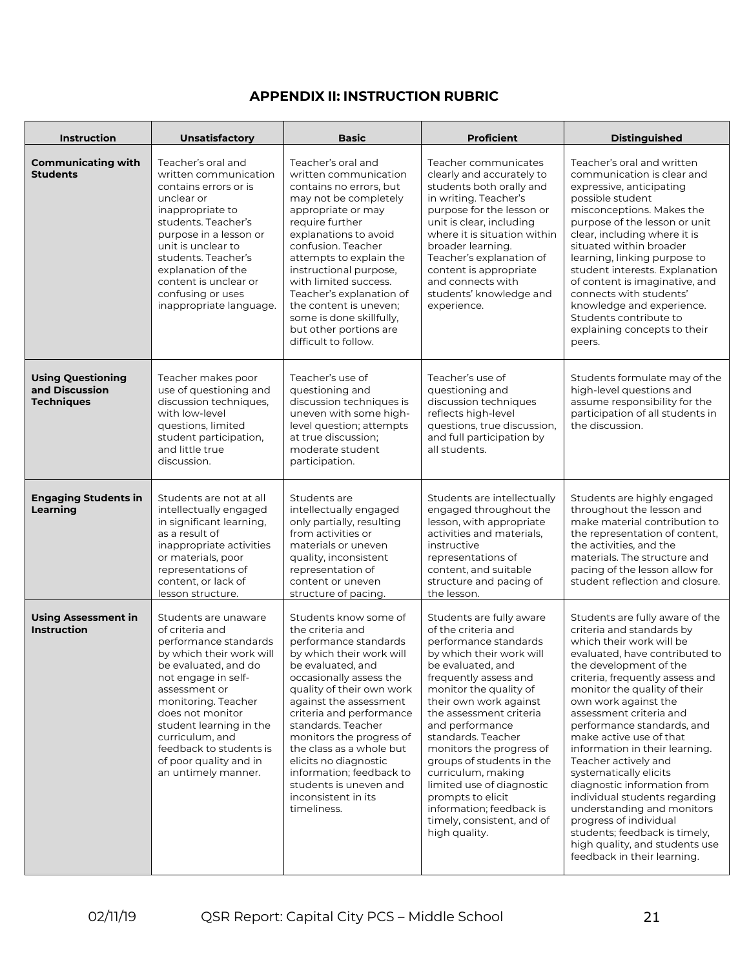## **APPENDIX II: INSTRUCTION RUBRIC**

| <b>Instruction</b>                                              | <b>Unsatisfactory</b>                                                                                                                                                                                                                                                                                                             | <b>Basic</b>                                                                                                                                                                                                                                                                                                                                                                                                                         | <b>Proficient</b>                                                                                                                                                                                                                                                                                                                                                                                                                                                                      | <b>Distinguished</b>                                                                                                                                                                                                                                                                                                                                                                                                                                                                                                                                                                                                                              |  |
|-----------------------------------------------------------------|-----------------------------------------------------------------------------------------------------------------------------------------------------------------------------------------------------------------------------------------------------------------------------------------------------------------------------------|--------------------------------------------------------------------------------------------------------------------------------------------------------------------------------------------------------------------------------------------------------------------------------------------------------------------------------------------------------------------------------------------------------------------------------------|----------------------------------------------------------------------------------------------------------------------------------------------------------------------------------------------------------------------------------------------------------------------------------------------------------------------------------------------------------------------------------------------------------------------------------------------------------------------------------------|---------------------------------------------------------------------------------------------------------------------------------------------------------------------------------------------------------------------------------------------------------------------------------------------------------------------------------------------------------------------------------------------------------------------------------------------------------------------------------------------------------------------------------------------------------------------------------------------------------------------------------------------------|--|
| <b>Communicating with</b><br><b>Students</b>                    | Teacher's oral and<br>written communication<br>contains errors or is<br>unclear or<br>inappropriate to<br>students. Teacher's<br>purpose in a lesson or<br>unit is unclear to<br>students. Teacher's<br>explanation of the<br>content is unclear or<br>confusing or uses<br>inappropriate language.                               | Teacher's oral and<br>written communication<br>contains no errors, but<br>may not be completely<br>appropriate or may<br>require further<br>explanations to avoid<br>confusion. Teacher<br>attempts to explain the<br>instructional purpose,<br>with limited success.<br>Teacher's explanation of<br>the content is uneven;<br>some is done skillfully,<br>but other portions are<br>difficult to follow.                            | Teacher communicates<br>clearly and accurately to<br>students both orally and<br>in writing. Teacher's<br>purpose for the lesson or<br>unit is clear, including<br>where it is situation within<br>broader learning.<br>Teacher's explanation of<br>content is appropriate<br>and connects with<br>students' knowledge and<br>experience.                                                                                                                                              | Teacher's oral and written<br>communication is clear and<br>expressive, anticipating<br>possible student<br>misconceptions. Makes the<br>purpose of the lesson or unit<br>clear, including where it is<br>situated within broader<br>learning, linking purpose to<br>student interests. Explanation<br>of content is imaginative, and<br>connects with students'<br>knowledge and experience.<br>Students contribute to<br>explaining concepts to their<br>peers.                                                                                                                                                                                 |  |
| <b>Using Questioning</b><br>and Discussion<br><b>Techniques</b> | Teacher makes poor<br>use of questioning and<br>discussion techniques,<br>with low-level<br>questions, limited<br>student participation,<br>and little true<br>discussion.                                                                                                                                                        | Teacher's use of<br>questioning and<br>discussion techniques is<br>uneven with some high-<br>level question; attempts<br>at true discussion;<br>moderate student<br>participation.                                                                                                                                                                                                                                                   | Teacher's use of<br>questioning and<br>discussion techniques<br>reflects high-level<br>questions, true discussion,<br>and full participation by<br>all students.                                                                                                                                                                                                                                                                                                                       | Students formulate may of the<br>high-level questions and<br>assume responsibility for the<br>participation of all students in<br>the discussion.                                                                                                                                                                                                                                                                                                                                                                                                                                                                                                 |  |
| <b>Engaging Students in</b><br>Learning                         | Students are not at all<br>intellectually engaged<br>in significant learning,<br>as a result of<br>inappropriate activities<br>or materials, poor<br>representations of<br>content, or lack of<br>lesson structure.                                                                                                               | Students are<br>intellectually engaged<br>only partially, resulting<br>from activities or<br>materials or uneven<br>quality, inconsistent<br>representation of<br>content or uneven<br>structure of pacing.                                                                                                                                                                                                                          | Students are intellectually<br>engaged throughout the<br>lesson, with appropriate<br>activities and materials,<br>instructive<br>representations of<br>content, and suitable<br>structure and pacing of<br>the lesson.                                                                                                                                                                                                                                                                 | Students are highly engaged<br>throughout the lesson and<br>make material contribution to<br>the representation of content,<br>the activities, and the<br>materials. The structure and<br>pacing of the lesson allow for<br>student reflection and closure.                                                                                                                                                                                                                                                                                                                                                                                       |  |
| <b>Using Assessment in</b><br><b>Instruction</b>                | Students are unaware<br>of criteria and<br>performance standards<br>by which their work will<br>be evaluated, and do<br>not engage in self-<br>assessment or<br>monitoring. Teacher<br>does not monitor<br>student learning in the<br>curriculum, and<br>feedback to students is<br>of poor quality and in<br>an untimely manner. | Students know some of<br>the criteria and<br>performance standards<br>by which their work will<br>be evaluated, and<br>occasionally assess the<br>quality of their own work<br>against the assessment<br>criteria and performance<br>standards. Teacher<br>monitors the progress of<br>the class as a whole but<br>elicits no diagnostic<br>information; feedback to<br>students is uneven and<br>inconsistent in its<br>timeliness. | Students are fully aware<br>of the criteria and<br>performance standards<br>by which their work will<br>be evaluated, and<br>frequently assess and<br>monitor the quality of<br>their own work against<br>the assessment criteria<br>and performance<br>standards. Teacher<br>monitors the progress of<br>groups of students in the<br>curriculum, making<br>limited use of diagnostic<br>prompts to elicit<br>information; feedback is<br>timely, consistent, and of<br>high quality. | Students are fully aware of the<br>criteria and standards by<br>which their work will be<br>evaluated, have contributed to<br>the development of the<br>criteria, frequently assess and<br>monitor the quality of their<br>own work against the<br>assessment criteria and<br>performance standards, and<br>make active use of that<br>information in their learning.<br>Teacher actively and<br>systematically elicits<br>diagnostic information from<br>individual students regarding<br>understanding and monitors<br>progress of individual<br>students; feedback is timely,<br>high quality, and students use<br>feedback in their learning. |  |